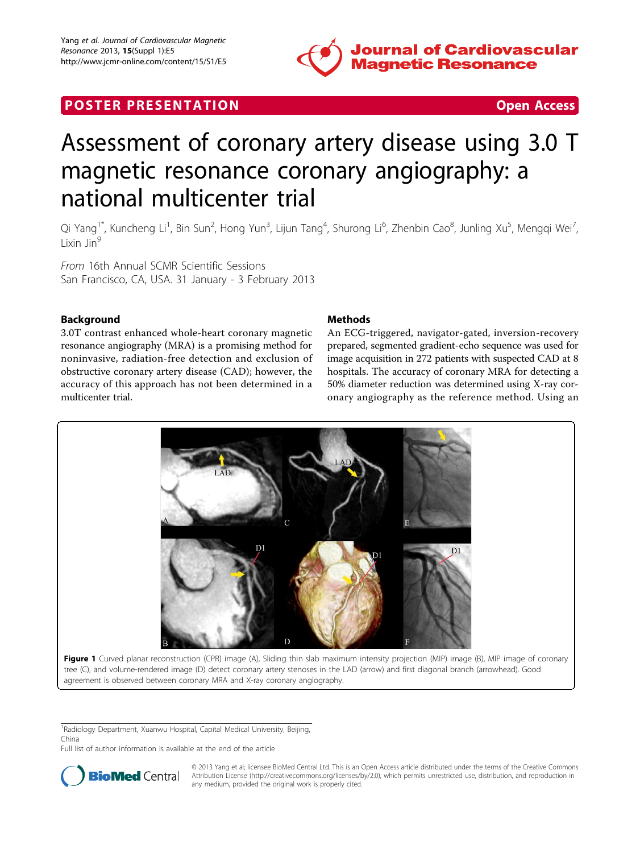

# **POSTER PRESENTATION CONSUMING THE SECOND CONSUMING THE SECOND CONSUMING THE SECOND CONSUMING THE SECOND CONSUMING THE SECOND CONSUMING THE SECOND CONSUMING THE SECOND CONSUMING THE SECOND CONSUMING THE SECOND CONSUMING**



# Assessment of coronary artery disease using 3.0 T magnetic resonance coronary angiography: a national multicenter trial

Qi Yang<sup>1\*</sup>, Kuncheng Li<sup>1</sup>, Bin Sun<sup>2</sup>, Hong Yun<sup>3</sup>, Lijun Tang<sup>4</sup>, Shurong Li<sup>6</sup>, Zhenbin Cao<sup>8</sup>, Junling Xu<sup>5</sup>, Mengqi Wei<sup>7</sup> , Lixin Jin<sup>9</sup>

From 16th Annual SCMR Scientific Sessions San Francisco, CA, USA. 31 January - 3 February 2013

# Background

3.0T contrast enhanced whole-heart coronary magnetic resonance angiography (MRA) is a promising method for noninvasive, radiation-free detection and exclusion of obstructive coronary artery disease (CAD); however, the accuracy of this approach has not been determined in a multicenter trial.

# **Methods**

An ECG-triggered, navigator-gated, inversion-recovery prepared, segmented gradient-echo sequence was used for image acquisition in 272 patients with suspected CAD at 8 hospitals. The accuracy of coronary MRA for detecting a 50% diameter reduction was determined using X-ray coronary angiography as the reference method. Using an



agreement is observed between coronary MRA and X-ray coronary angiography.

<sup>1</sup> Radiology Department, Xuanwu Hospital, Capital Medical University, Beijing,

China

Full list of author information is available at the end of the article



© 2013 Yang et al; licensee BioMed Central Ltd. This is an Open Access article distributed under the terms of the Creative Commons Bio Med Central Attribution License [\(http://creativecommons.org/licenses/by/2.0](http://creativecommons.org/licenses/by/2.0)), which permits unrestricted use, distribution, and reproduction in any medium, provided the original work is properly cited.